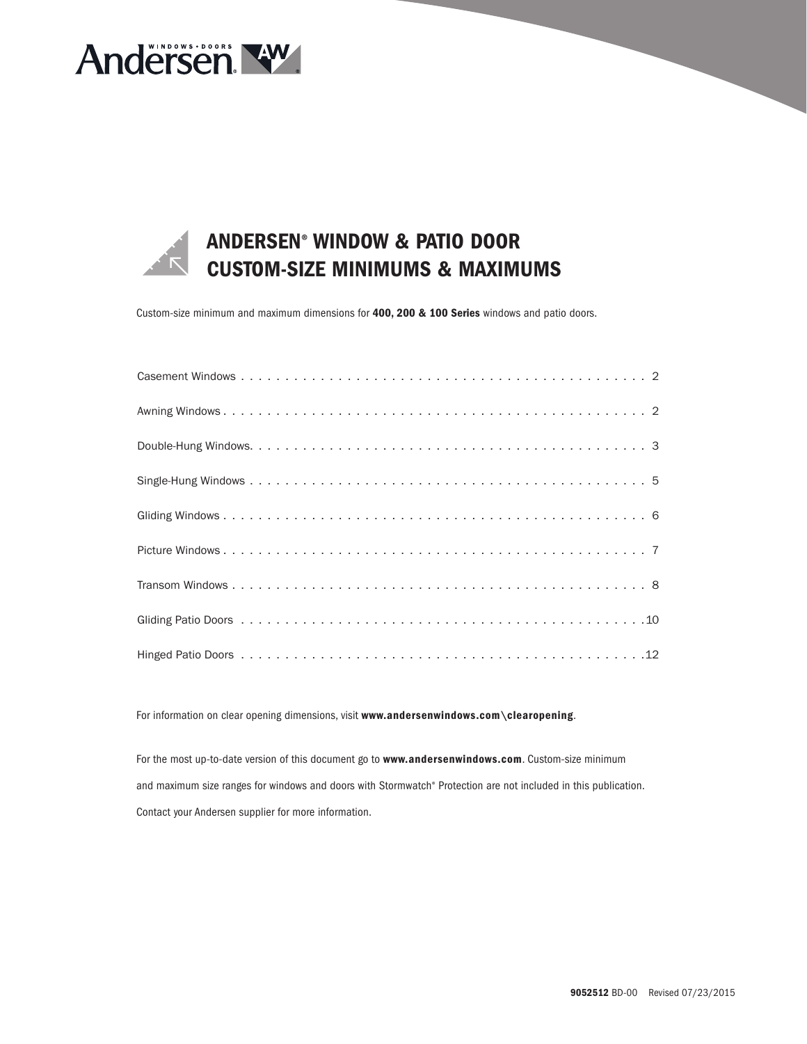



### ANDERSEN® WINDOW & PATIO DOOR CUSTOM-SIZE MINIMUMS & MAXIMUMS

Custom-size minimum and maximum dimensions for 400, 200 & 100 Series windows and patio doors.

For information on clear opening dimensions, visit www.andersenwindows.com\clearopening.

For the most up-to-date version of this document go to www.andersenwindows.com. Custom-size minimum and maximum size ranges for windows and doors with Stormwatch® Protection are not included in this publication. Contact your Andersen supplier for more information.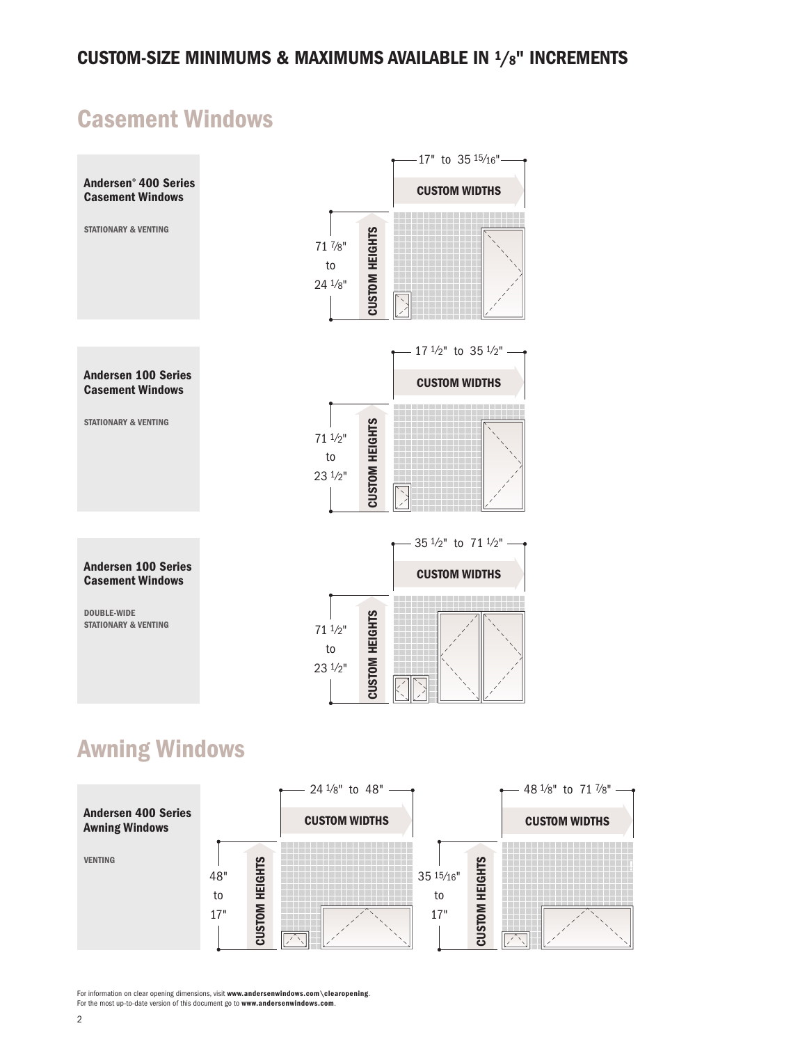## Casement Windows



For information on clear opening dimensions, visit **www.andersenwindows.com\clearopening.**<br>For the most up-to-date version of this document go to **www.andersenwindows.com**.

48" to 17"

CUSTOM HEIGHTS

CUSTOM HEIGHTS

CUSTOM HEIGHTS

**CUSTOM HEIGHTS** 

35 15⁄16" to 17"

VENTING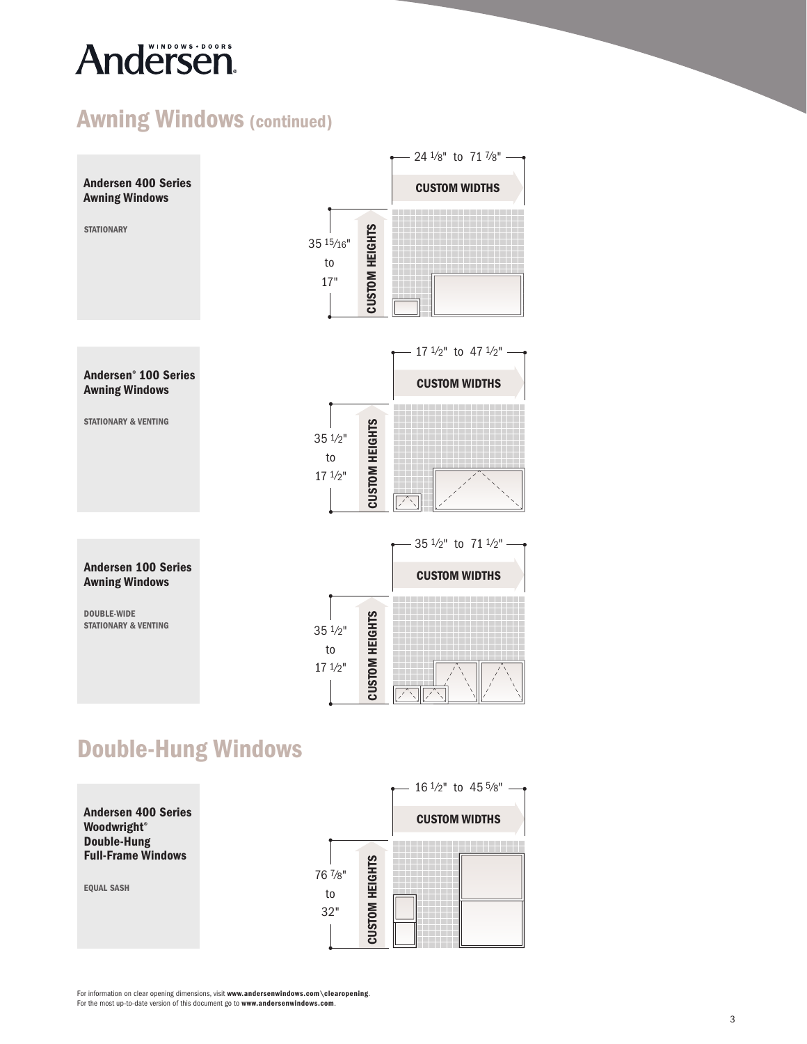# Andersen.

### Awning Windows (continued)



## Double-Hung Windows

Andersen 400 Series Woodwright ® Double-Hung Full-Frame Windows

EQUAL SASH

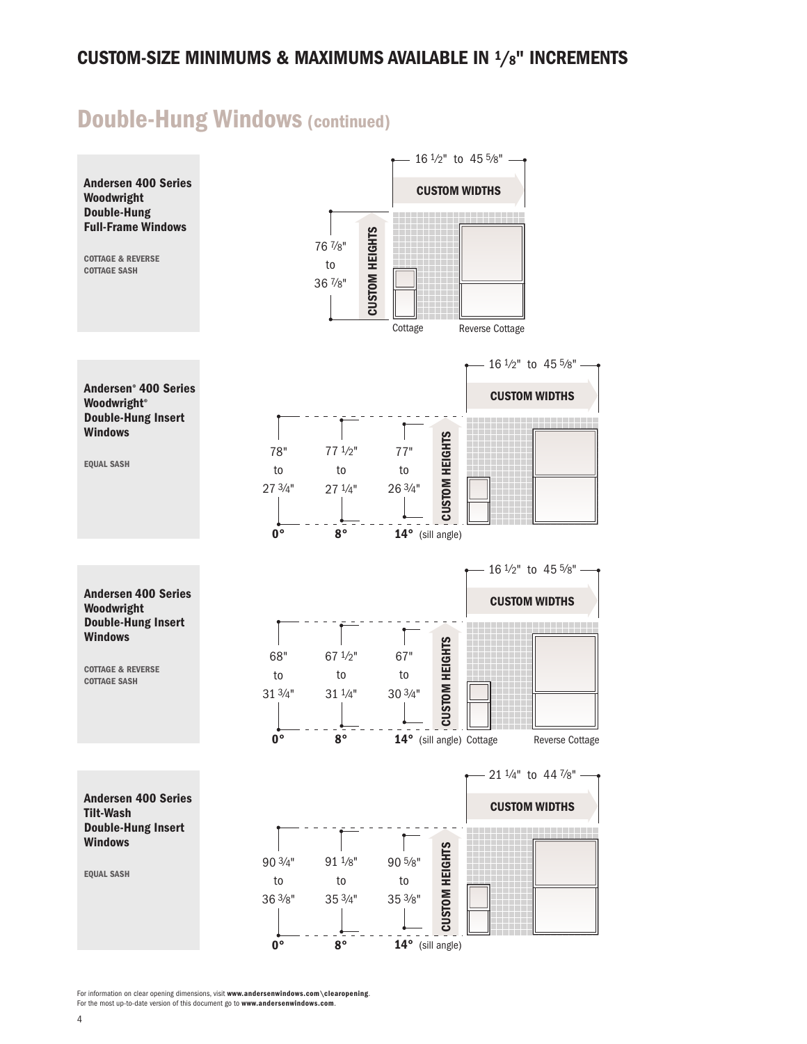### Double-Hung Windows (continued)

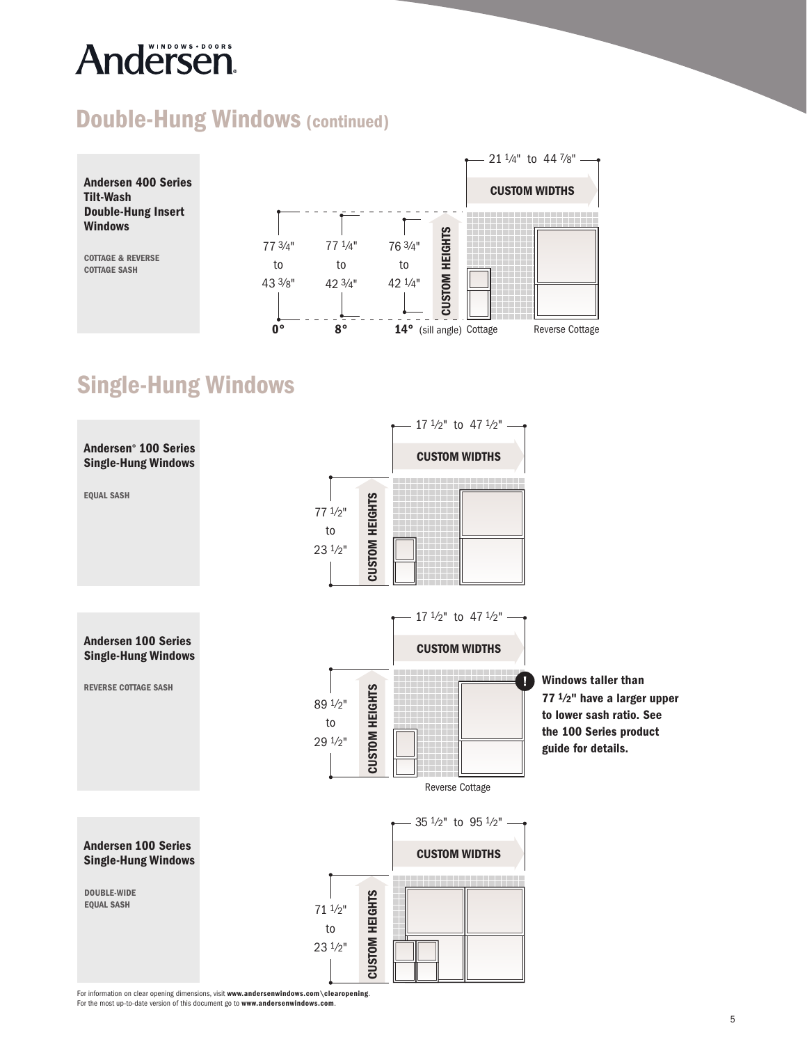# **Andersen**

#### Double-Hung Windows (continued)



## Single-Hung Windows

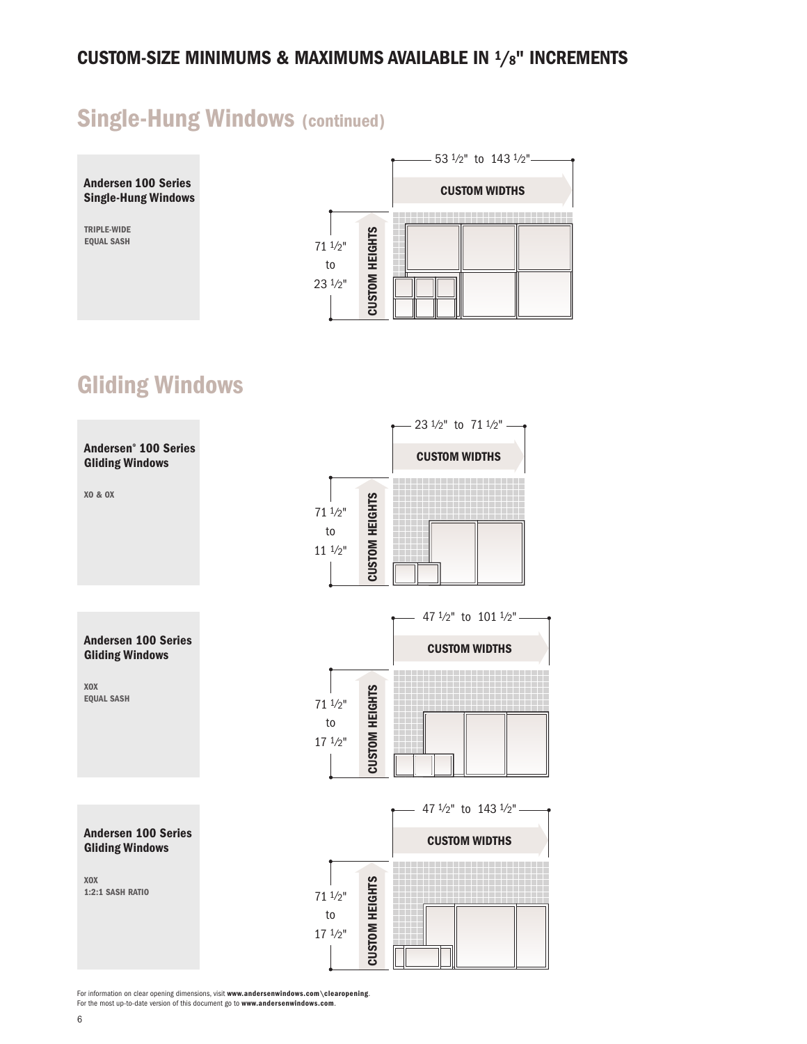### Single-Hung Windows (continued)



### Gliding Windows

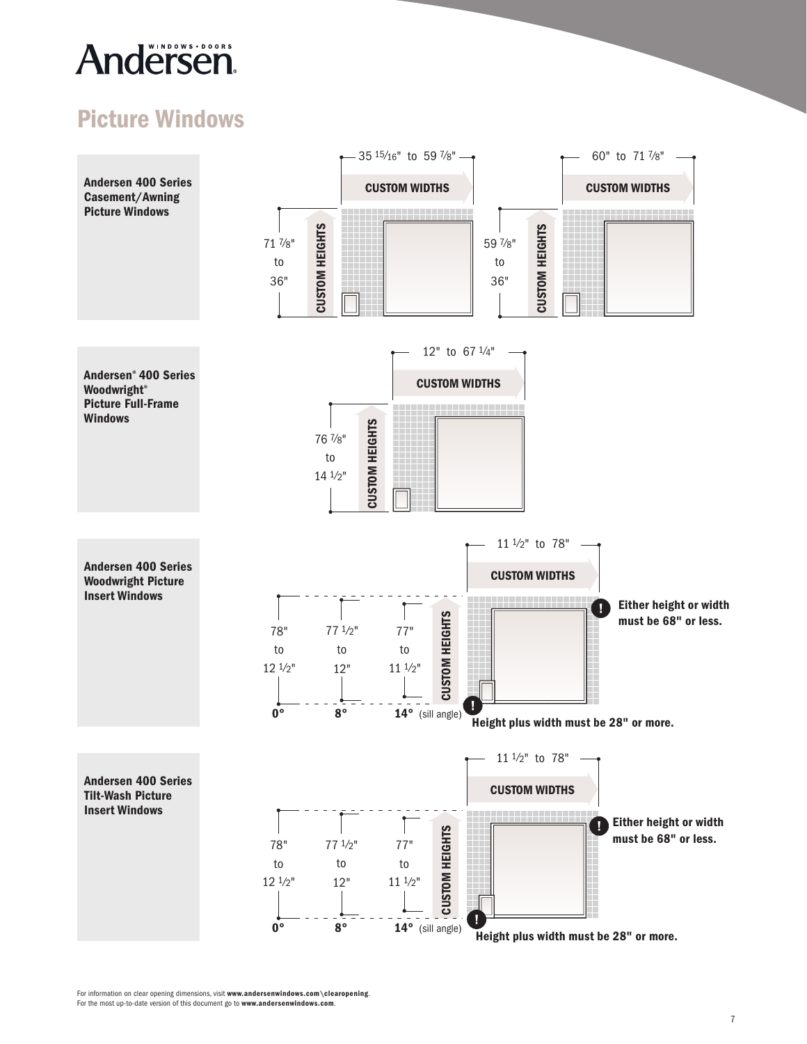## Andersen.

### Picture Windows



CUSTOM HEIGHTS

35 15⁄16"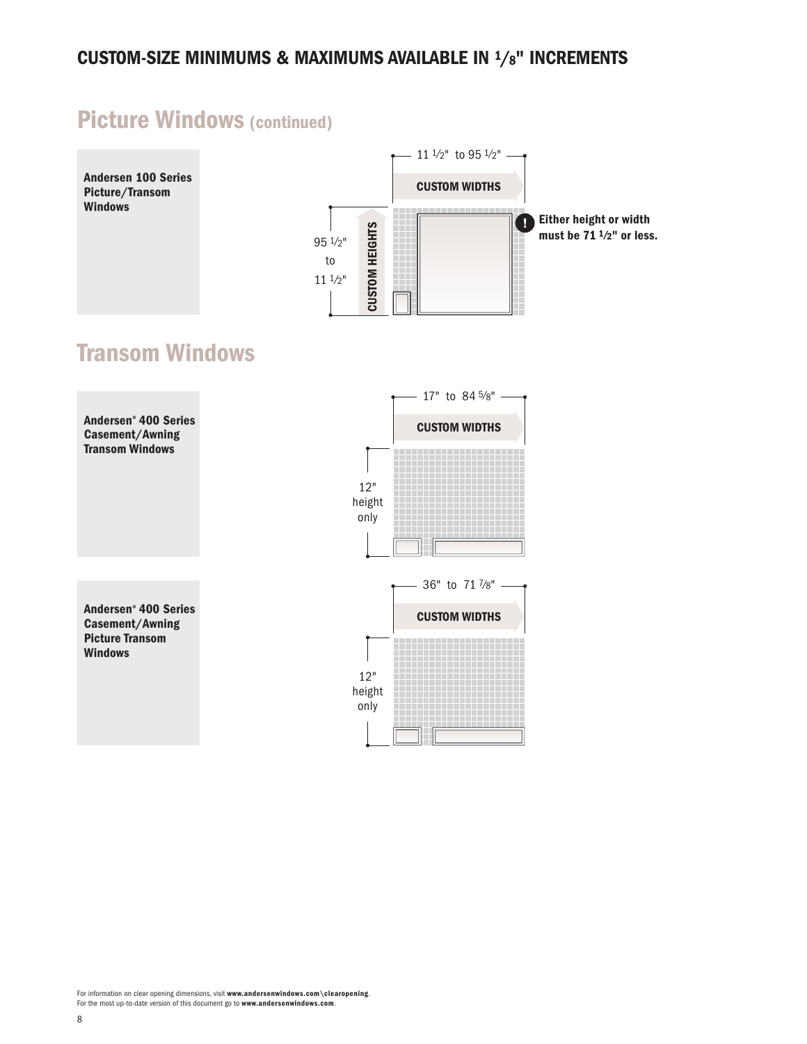### Picture Windows (continued)

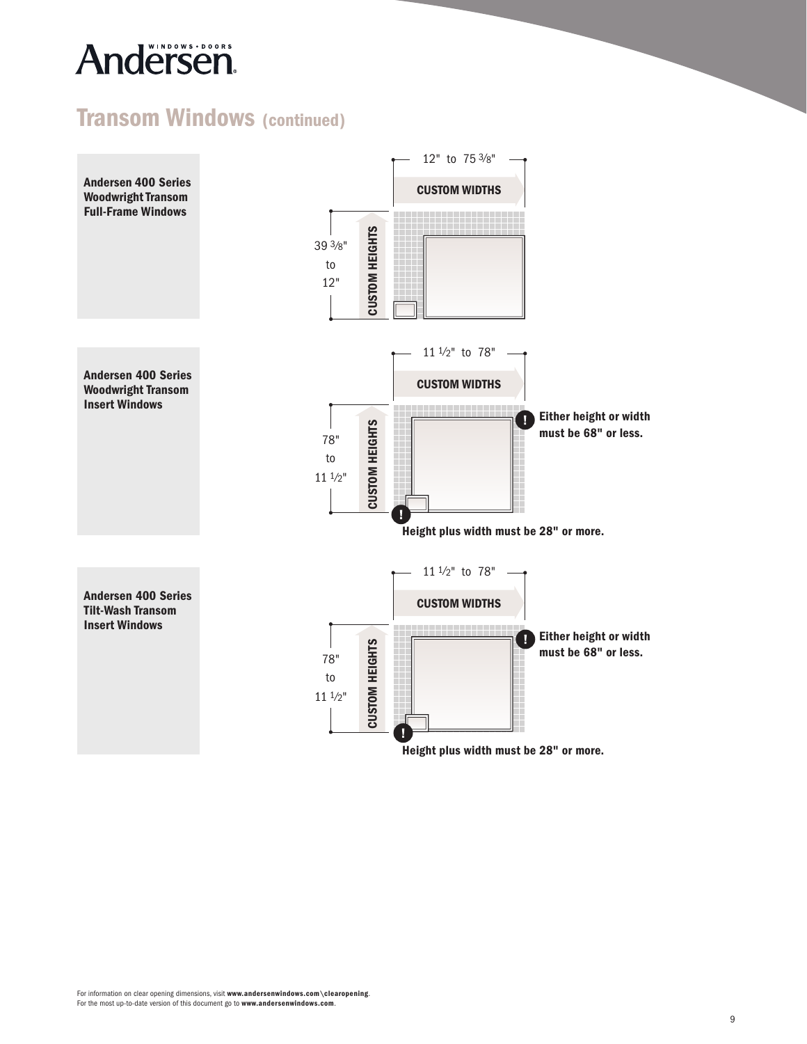## Andersen

### Transom Windows (continued)

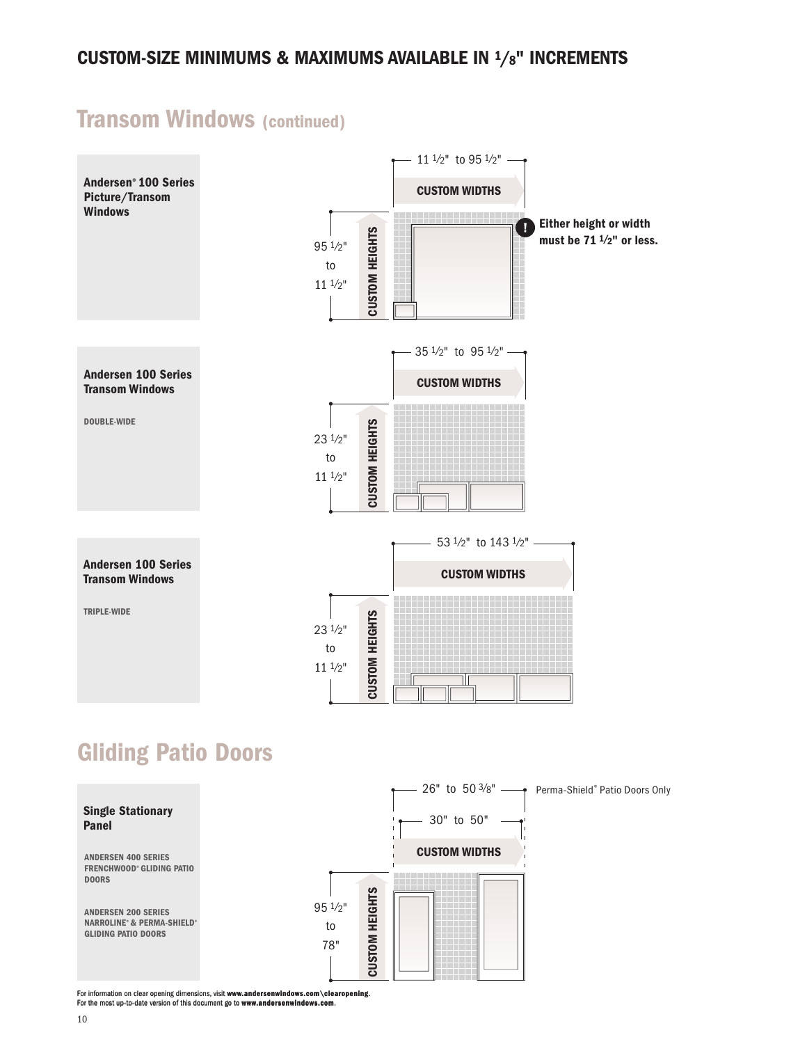### Transom Windows (continued)



### Gliding Patio Doors

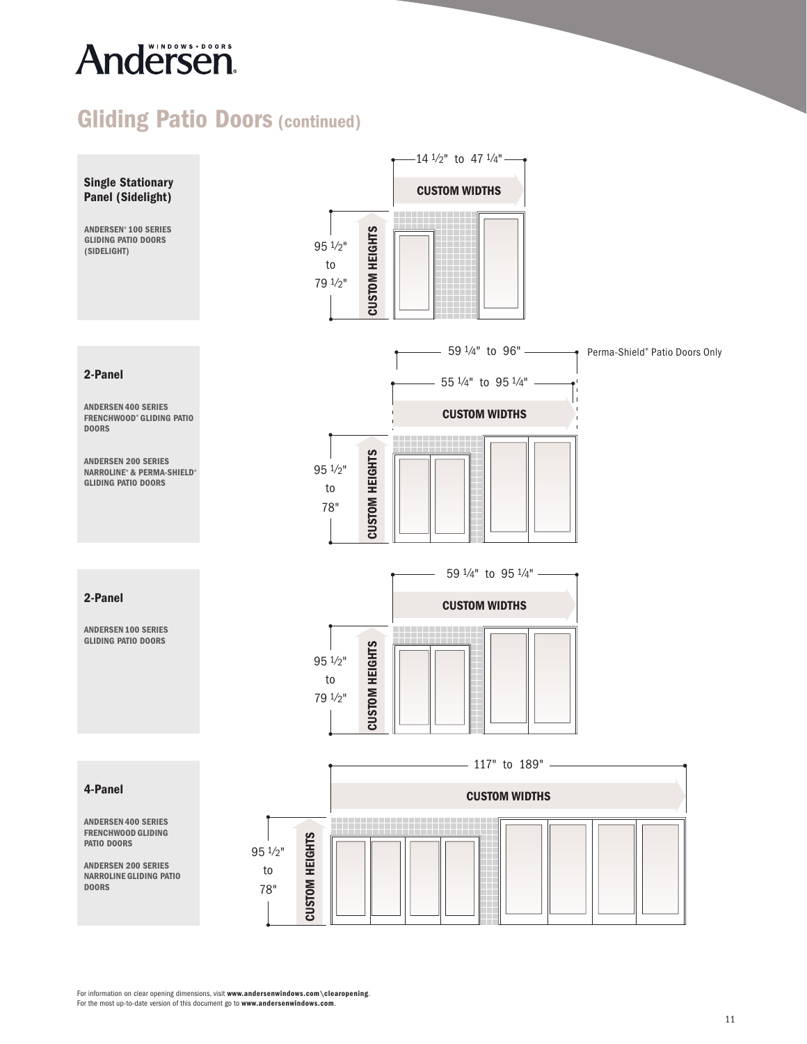# Andersen.

### Gliding Patio Doors (continued)